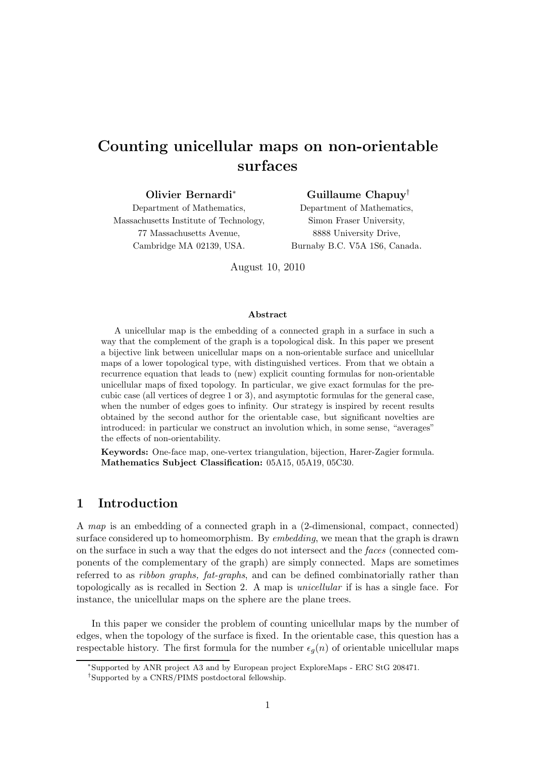# Counting unicellular maps on non-orientable surfaces

Olivier Bernardi<sup>∗</sup> Department of Mathematics, Massachusetts Institute of Technology, 77 Massachusetts Avenue, Cambridge MA 02139, USA.

Guillaume Chapuy† Department of Mathematics, Simon Fraser University, 8888 University Drive, Burnaby B.C. V5A 1S6, Canada.

August 10, 2010

#### Abstract

A unicellular map is the embedding of a connected graph in a surface in such a way that the complement of the graph is a topological disk. In this paper we present a bijective link between unicellular maps on a non-orientable surface and unicellular maps of a lower topological type, with distinguished vertices. From that we obtain a recurrence equation that leads to (new) explicit counting formulas for non-orientable unicellular maps of fixed topology. In particular, we give exact formulas for the precubic case (all vertices of degree 1 or 3), and asymptotic formulas for the general case, when the number of edges goes to infinity. Our strategy is inspired by recent results obtained by the second author for the orientable case, but significant novelties are introduced: in particular we construct an involution which, in some sense, "averages" the effects of non-orientability.

Keywords: One-face map, one-vertex triangulation, bijection, Harer-Zagier formula. Mathematics Subject Classification: 05A15, 05A19, 05C30.

## 1 Introduction

A *map* is an embedding of a connected graph in a (2-dimensional, compact, connected) surface considered up to homeomorphism. By *embedding*, we mean that the graph is drawn on the surface in such a way that the edges do not intersect and the *faces* (connected components of the complementary of the graph) are simply connected. Maps are sometimes referred to as *ribbon graphs, fat-graphs*, and can be defined combinatorially rather than topologically as is recalled in Section 2. A map is *unicellular* if is has a single face. For instance, the unicellular maps on the sphere are the plane trees.

In this paper we consider the problem of counting unicellular maps by the number of edges, when the topology of the surface is fixed. In the orientable case, this question has a respectable history. The first formula for the number  $\epsilon_q(n)$  of orientable unicellular maps

<sup>∗</sup> Supported by ANR project A3 and by European project ExploreMaps - ERC StG 208471.

<sup>†</sup> Supported by a CNRS/PIMS postdoctoral fellowship.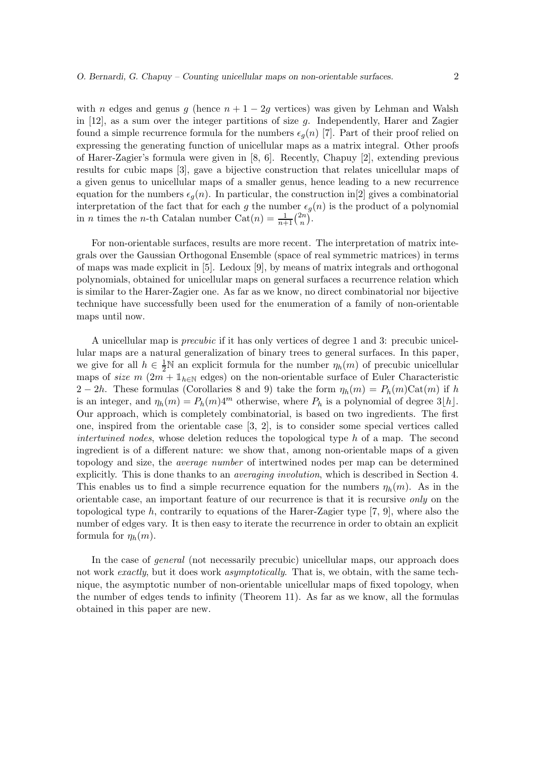with n edges and genus g (hence  $n + 1 - 2g$  vertices) was given by Lehman and Walsh in  $[12]$ , as a sum over the integer partitions of size g. Independently, Harer and Zagier found a simple recurrence formula for the numbers  $\epsilon_q(n)$  [7]. Part of their proof relied on expressing the generating function of unicellular maps as a matrix integral. Other proofs of Harer-Zagier's formula were given in [8, 6]. Recently, Chapuy [2], extending previous results for cubic maps [3], gave a bijective construction that relates unicellular maps of a given genus to unicellular maps of a smaller genus, hence leading to a new recurrence equation for the numbers  $\epsilon_q(n)$ . In particular, the construction in [2] gives a combinatorial interpretation of the fact that for each g the number  $\epsilon_g(n)$  is the product of a polynomial in *n* times the *n*-th Catalan number  $\text{Cat}(n) = \frac{1}{n+1} \binom{2n}{n}$  $\binom{2n}{n}$ .

For non-orientable surfaces, results are more recent. The interpretation of matrix integrals over the Gaussian Orthogonal Ensemble (space of real symmetric matrices) in terms of maps was made explicit in [5]. Ledoux [9], by means of matrix integrals and orthogonal polynomials, obtained for unicellular maps on general surfaces a recurrence relation which is similar to the Harer-Zagier one. As far as we know, no direct combinatorial nor bijective technique have successfully been used for the enumeration of a family of non-orientable maps until now.

A unicellular map is *precubic* if it has only vertices of degree 1 and 3: precubic unicellular maps are a natural generalization of binary trees to general surfaces. In this paper, we give for all  $h \in \frac{1}{2}N$  an explicit formula for the number  $\eta_h(m)$  of precubic unicellular maps of *size* m (2m +  $\mathbb{1}_{h \in \mathbb{N}}$  edges) on the non-orientable surface of Euler Characteristic 2 − 2h. These formulas (Corollaries 8 and 9) take the form  $\eta_h(m) = P_h(m)$ Cat $(m)$  if h is an integer, and  $\eta_h(m) = P_h(m)4^m$  otherwise, where  $P_h$  is a polynomial of degree  $3[h]$ . Our approach, which is completely combinatorial, is based on two ingredients. The first one, inspired from the orientable case [3, 2], is to consider some special vertices called *intertwined nodes*, whose deletion reduces the topological type h of a map. The second ingredient is of a different nature: we show that, among non-orientable maps of a given topology and size, the *average number* of intertwined nodes per map can be determined explicitly. This is done thanks to an *averaging involution*, which is described in Section 4. This enables us to find a simple recurrence equation for the numbers  $\eta_h(m)$ . As in the orientable case, an important feature of our recurrence is that it is recursive *only* on the topological type h, contrarily to equations of the Harer-Zagier type [7, 9], where also the number of edges vary. It is then easy to iterate the recurrence in order to obtain an explicit formula for  $\eta_h(m)$ .

In the case of *general* (not necessarily precubic) unicellular maps, our approach does not work *exactly*, but it does work *asymptotically*. That is, we obtain, with the same technique, the asymptotic number of non-orientable unicellular maps of fixed topology, when the number of edges tends to infinity (Theorem 11). As far as we know, all the formulas obtained in this paper are new.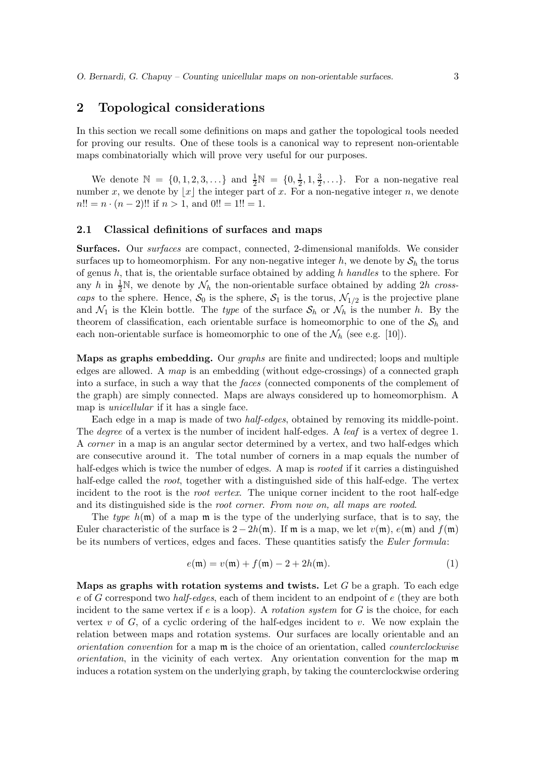## 2 Topological considerations

In this section we recall some definitions on maps and gather the topological tools needed for proving our results. One of these tools is a canonical way to represent non-orientable maps combinatorially which will prove very useful for our purposes.

We denote  $\mathbb{N} = \{0, 1, 2, 3, ...\}$  and  $\frac{1}{2}\mathbb{N} = \{0, \frac{1}{2}\}$  $\frac{1}{2}$ , 1,  $\frac{3}{2}$  $\frac{3}{2}, \ldots$ . For a non-negative real number x, we denote by  $|x|$  the integer part of x. For a non-negative integer n, we denote  $n!! = n \cdot (n-2)!!$  if  $n > 1$ , and  $0!! = 1!! = 1$ .

#### 2.1 Classical definitions of surfaces and maps

Surfaces. Our *surfaces* are compact, connected, 2-dimensional manifolds. We consider surfaces up to homeomorphism. For any non-negative integer h, we denote by  $S_h$  the torus of genus h, that is, the orientable surface obtained by adding h *handles* to the sphere. For any h in  $\frac{1}{2}N$ , we denote by  $\mathcal{N}_h$  the non-orientable surface obtained by adding 2h *crosscaps* to the sphere. Hence,  $S_0$  is the sphere,  $S_1$  is the torus,  $\mathcal{N}_{1/2}$  is the projective plane and  $\mathcal{N}_1$  is the Klein bottle. The *type* of the surface  $\mathcal{S}_h$  or  $\mathcal{N}_h$  is the number h. By the theorem of classification, each orientable surface is homeomorphic to one of the  $S_h$  and each non-orientable surface is homeomorphic to one of the  $\mathcal{N}_h$  (see e.g. [10]).

Maps as graphs embedding. Our *graphs* are finite and undirected; loops and multiple edges are allowed. A *map* is an embedding (without edge-crossings) of a connected graph into a surface, in such a way that the *faces* (connected components of the complement of the graph) are simply connected. Maps are always considered up to homeomorphism. A map is *unicellular* if it has a single face.

Each edge in a map is made of two *half-edges*, obtained by removing its middle-point. The *degree* of a vertex is the number of incident half-edges. A *leaf* is a vertex of degree 1. A *corner* in a map is an angular sector determined by a vertex, and two half-edges which are consecutive around it. The total number of corners in a map equals the number of half-edges which is twice the number of edges. A map is *rooted* if it carries a distinguished half-edge called the *root*, together with a distinguished side of this half-edge. The vertex incident to the root is the *root vertex*. The unique corner incident to the root half-edge and its distinguished side is the *root corner*. *From now on, all maps are rooted*.

The *type*  $h(\mathfrak{m})$  of a map  $\mathfrak{m}$  is the type of the underlying surface, that is to say, the Euler characteristic of the surface is  $2 - 2h(m)$ . If m is a map, we let  $v(m)$ ,  $e(m)$  and  $f(m)$ be its numbers of vertices, edges and faces. These quantities satisfy the *Euler formula*:

$$
e(\mathfrak{m}) = v(\mathfrak{m}) + f(\mathfrak{m}) - 2 + 2h(\mathfrak{m}).
$$
\n(1)

Maps as graphs with rotation systems and twists. Let  $G$  be a graph. To each edge e of G correspond two *half-edges*, each of them incident to an endpoint of e (they are both incident to the same vertex if  $e$  is a loop). A *rotation system* for  $G$  is the choice, for each vertex  $v$  of  $G$ , of a cyclic ordering of the half-edges incident to  $v$ . We now explain the relation between maps and rotation systems. Our surfaces are locally orientable and an *orientation convention* for a map m is the choice of an orientation, called *counterclockwise orientation*, in the vicinity of each vertex. Any orientation convention for the map m induces a rotation system on the underlying graph, by taking the counterclockwise ordering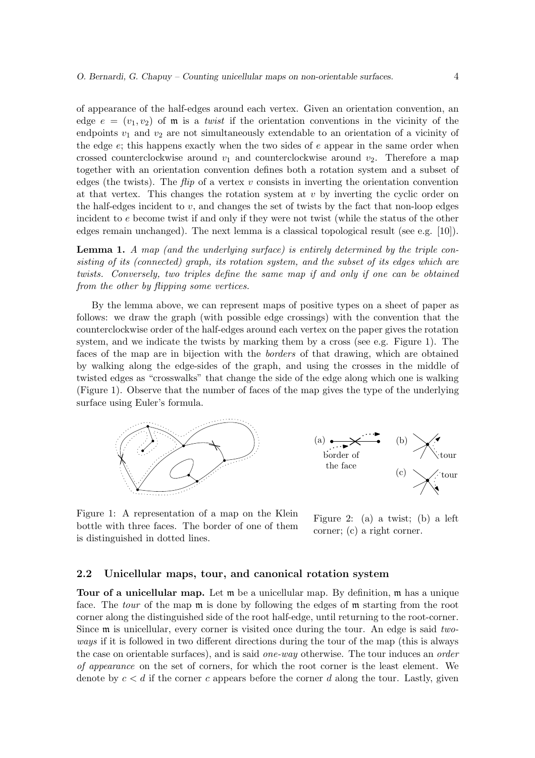of appearance of the half-edges around each vertex. Given an orientation convention, an edge  $e = (v_1, v_2)$  of  $\mathfrak m$  is a *twist* if the orientation conventions in the vicinity of the endpoints  $v_1$  and  $v_2$  are not simultaneously extendable to an orientation of a vicinity of the edge e; this happens exactly when the two sides of e appear in the same order when crossed counterclockwise around  $v_1$  and counterclockwise around  $v_2$ . Therefore a map together with an orientation convention defines both a rotation system and a subset of edges (the twists). The  $flip$  of a vertex v consists in inverting the orientation convention at that vertex. This changes the rotation system at  $v$  by inverting the cyclic order on the half-edges incident to  $v$ , and changes the set of twists by the fact that non-loop edges incident to e become twist if and only if they were not twist (while the status of the other edges remain unchanged). The next lemma is a classical topological result (see e.g. [10]).

Lemma 1. A map (and the underlying surface) is entirely determined by the triple con*sisting of its (connected) graph, its rotation system, and the subset of its edges which are twists. Conversely, two triples define the same map if and only if one can be obtained from the other by flipping some vertices.*

By the lemma above, we can represent maps of positive types on a sheet of paper as follows: we draw the graph (with possible edge crossings) with the convention that the counterclockwise order of the half-edges around each vertex on the paper gives the rotation system, and we indicate the twists by marking them by a cross (see e.g. Figure 1). The faces of the map are in bijection with the *borders* of that drawing, which are obtained by walking along the edge-sides of the graph, and using the crosses in the middle of twisted edges as "crosswalks" that change the side of the edge along which one is walking (Figure 1). Observe that the number of faces of the map gives the type of the underlying surface using Euler's formula.





Figure 1: A representation of a map on the Klein bottle with three faces. The border of one of them is distinguished in dotted lines.

Figure 2: (a) a twist; (b) a left corner; (c) a right corner.

#### 2.2 Unicellular maps, tour, and canonical rotation system

**Tour of a unicellular map.** Let  $\mathfrak{m}$  be a unicellular map. By definition,  $\mathfrak{m}$  has a unique face. The *tour* of the map m is done by following the edges of m starting from the root corner along the distinguished side of the root half-edge, until returning to the root-corner. Since m is unicellular, every corner is visited once during the tour. An edge is said *twoways* if it is followed in two different directions during the tour of the map (this is always the case on orientable surfaces), and is said *one-way* otherwise. The tour induces an *order of appearance* on the set of corners, for which the root corner is the least element. We denote by  $c < d$  if the corner c appears before the corner d along the tour. Lastly, given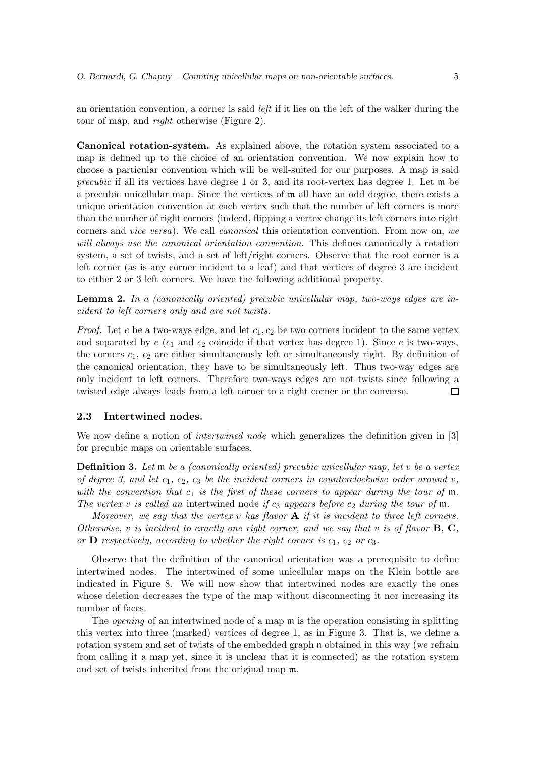an orientation convention, a corner is said *left* if it lies on the left of the walker during the tour of map, and *right* otherwise (Figure 2).

Canonical rotation-system. As explained above, the rotation system associated to a map is defined up to the choice of an orientation convention. We now explain how to choose a particular convention which will be well-suited for our purposes. A map is said *precubic* if all its vertices have degree 1 or 3, and its root-vertex has degree 1. Let m be a precubic unicellular map. Since the vertices of m all have an odd degree, there exists a unique orientation convention at each vertex such that the number of left corners is more than the number of right corners (indeed, flipping a vertex change its left corners into right corners and *vice versa*). We call *canonical* this orientation convention. From now on, *we will always use the canonical orientation convention*. This defines canonically a rotation system, a set of twists, and a set of left/right corners. Observe that the root corner is a left corner (as is any corner incident to a leaf) and that vertices of degree 3 are incident to either 2 or 3 left corners. We have the following additional property.

Lemma 2. *In a (canonically oriented) precubic unicellular map, two-ways edges are incident to left corners only and are not twists.*

*Proof.* Let e be a two-ways edge, and let  $c_1, c_2$  be two corners incident to the same vertex and separated by  $e$  ( $c_1$  and  $c_2$  coincide if that vertex has degree 1). Since e is two-ways, the corners  $c_1, c_2$  are either simultaneously left or simultaneously right. By definition of the canonical orientation, they have to be simultaneously left. Thus two-way edges are only incident to left corners. Therefore two-ways edges are not twists since following a twisted edge always leads from a left corner to a right corner or the converse. □

#### 2.3 Intertwined nodes.

We now define a notion of *intertwined node* which generalizes the definition given in [3] for precubic maps on orientable surfaces.

Definition 3. *Let* m *be a (canonically oriented) precubic unicellular map, let* v *be a vertex of degree 3, and let*  $c_1$ ,  $c_2$ ,  $c_3$  *be the incident corners in counterclockwise order around* v, *with the convention that*  $c_1$  *is the first of these corners to appear during the tour of* m. *The vertex* v *is called an* intertwined node *if*  $c_3$  *appears before*  $c_2$  *during the tour of* m.

*Moreover, we say that the vertex* v *has flavor* A *if it is incident to three left corners. Otherwise,* v *is incident to exactly one right corner, and we say that* v *is of flavor* B*,* C*, or* **D** *respectively, according to whether the right corner is*  $c_1$ ,  $c_2$  *or*  $c_3$ *.* 

Observe that the definition of the canonical orientation was a prerequisite to define intertwined nodes. The intertwined of some unicellular maps on the Klein bottle are indicated in Figure 8. We will now show that intertwined nodes are exactly the ones whose deletion decreases the type of the map without disconnecting it nor increasing its number of faces.

The *opening* of an intertwined node of a map  $\mathfrak{m}$  is the operation consisting in splitting this vertex into three (marked) vertices of degree 1, as in Figure 3. That is, we define a rotation system and set of twists of the embedded graph n obtained in this way (we refrain from calling it a map yet, since it is unclear that it is connected) as the rotation system and set of twists inherited from the original map m.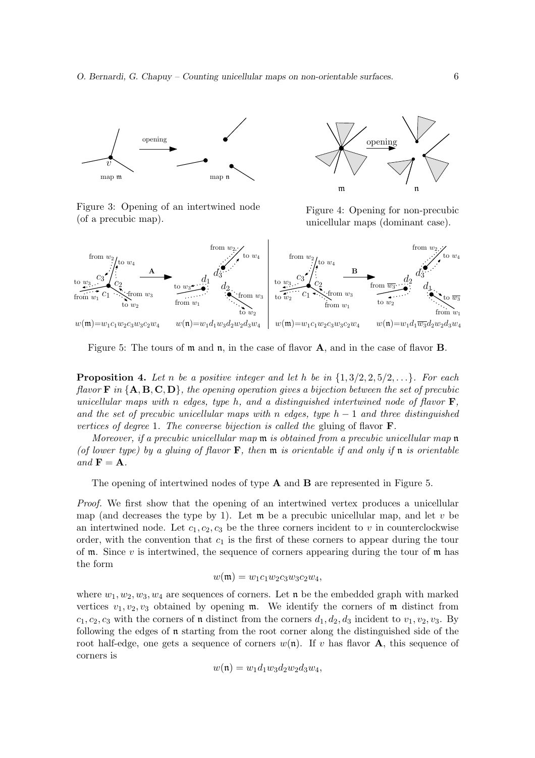

Figure 3: Opening of an intertwined node (of a precubic map).



Figure 4: Opening for non-precubic unicellular maps (dominant case).



Figure 5: The tours of  $m$  and  $n$ , in the case of flavor **A**, and in the case of flavor **B**.

**Proposition 4.** Let n be a positive integer and let h be in  $\{1, 3/2, 2, 5/2, \ldots\}$ *. For each flavor* **F** in  ${A, B, C, D}$ *, the opening operation gives a bijection between the set of precubic unicellular maps with* n *edges, type* h*, and a distinguished intertwined node of flavor* F*, and the set of precubic unicellular maps with* n *edges, type* h − 1 *and three distinguished vertices of degree* 1*. The converse bijection is called the* gluing of flavor F*.*

*Moreover, if a precubic unicellular map* m *is obtained from a precubic unicellular map* n *(of lower type) by a gluing of flavor* F*, then* m *is orientable if and only if* n *is orientable*  $and$   $\mathbf{F} = \mathbf{A}$ *.* 

The opening of intertwined nodes of type A and B are represented in Figure 5.

*Proof.* We first show that the opening of an intertwined vertex produces a unicellular map (and decreases the type by 1). Let  $\mathfrak{m}$  be a precubic unicellular map, and let v be an intertwined node. Let  $c_1, c_2, c_3$  be the three corners incident to v in counterclockwise order, with the convention that  $c_1$  is the first of these corners to appear during the tour of  $m$ . Since v is intertwined, the sequence of corners appearing during the tour of  $m$  has the form

$$
w(\mathfrak{m}) = w_1 c_1 w_2 c_3 w_3 c_2 w_4,
$$

where  $w_1, w_2, w_3, w_4$  are sequences of corners. Let n be the embedded graph with marked vertices  $v_1, v_2, v_3$  obtained by opening m. We identify the corners of m distinct from  $c_1, c_2, c_3$  with the corners of **n** distinct from the corners  $d_1, d_2, d_3$  incident to  $v_1, v_2, v_3$ . By following the edges of n starting from the root corner along the distinguished side of the root half-edge, one gets a sequence of corners  $w(\mathfrak{n})$ . If v has flavor **A**, this sequence of corners is

$$
w(\mathfrak{n}) = w_1 d_1 w_3 d_2 w_2 d_3 w_4,
$$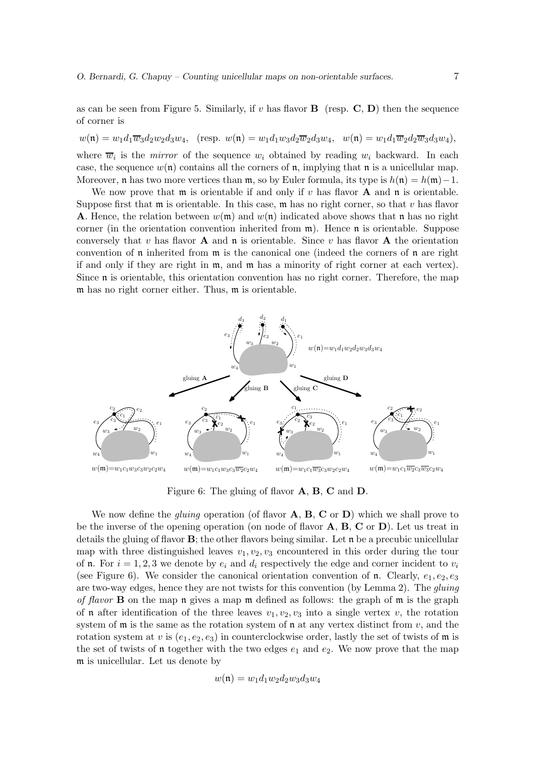as can be seen from Figure 5. Similarly, if v has flavor  $\bf{B}$  (resp.  $\bf{C}$ ,  $\bf{D}$ ) then the sequence of corner is

$$
w(\mathfrak{n})=w_1d_1\overline{w}_3d_2w_2d_3w_4,\quad (\text{resp. }w(\mathfrak{n})=w_1d_1w_3d_2\overline{w}_2d_3w_4,\quad w(\mathfrak{n})=w_1d_1\overline{w}_2d_2\overline{w}_3d_3w_4),
$$

where  $\overline{w}_i$  is the *mirror* of the sequence  $w_i$  obtained by reading  $w_i$  backward. In each case, the sequence  $w(\mathfrak{n})$  contains all the corners of  $\mathfrak{n}$ , implying that  $\mathfrak{n}$  is a unicellular map. Moreover, n has two more vertices than  $m$ , so by Euler formula, its type is  $h(n) = h(m)-1$ .

We now prove that  $\mathfrak m$  is orientable if and only if v has flavor **A** and  $\mathfrak n$  is orientable. Suppose first that  $\mathfrak m$  is orientable. In this case,  $\mathfrak m$  has no right corner, so that v has flavor **A**. Hence, the relation between  $w(\mathfrak{m})$  and  $w(\mathfrak{n})$  indicated above shows that  $\mathfrak{n}$  has no right corner (in the orientation convention inherited from  $m$ ). Hence  $\mathfrak n$  is orientable. Suppose conversely that v has flavor  $A$  and n is orientable. Since v has flavor  $A$  the orientation convention of  $\mathfrak n$  inherited from  $\mathfrak m$  is the canonical one (indeed the corners of  $\mathfrak n$  are right if and only if they are right in m, and m has a minority of right corner at each vertex). Since n is orientable, this orientation convention has no right corner. Therefore, the map m has no right corner either. Thus, m is orientable.



Figure 6: The gluing of flavor A, B, C and D.

We now define the *gluing* operation (of flavor **A**, **B**, **C** or **D**) which we shall prove to be the inverse of the opening operation (on node of flavor  $\bf{A}, \bf{B}, \bf{C}$  or  $\bf{D}$ ). Let us treat in details the gluing of flavor  $\bf{B}$ ; the other flavors being similar. Let  $\bf{n}$  be a precubic unicellular map with three distinguished leaves  $v_1, v_2, v_3$  encountered in this order during the tour of n. For  $i = 1, 2, 3$  we denote by  $e_i$  and  $d_i$  respectively the edge and corner incident to  $v_i$ (see Figure 6). We consider the canonical orientation convention of n. Clearly,  $e_1, e_2, e_3$ are two-way edges, hence they are not twists for this convention (by Lemma 2). The *gluing of flavor* B on the map n gives a map m defined as follows: the graph of m is the graph of **n** after identification of the three leaves  $v_1, v_2, v_3$  into a single vertex v, the rotation system of  $\mathfrak m$  is the same as the rotation system of  $\mathfrak n$  at any vertex distinct from  $v$ , and the rotation system at v is  $(e_1, e_2, e_3)$  in counterclockwise order, lastly the set of twists of m is the set of twists of **n** together with the two edges  $e_1$  and  $e_2$ . We now prove that the map m is unicellular. Let us denote by

$$
w(\mathfrak{n}) = w_1 d_1 w_2 d_2 w_3 d_3 w_4
$$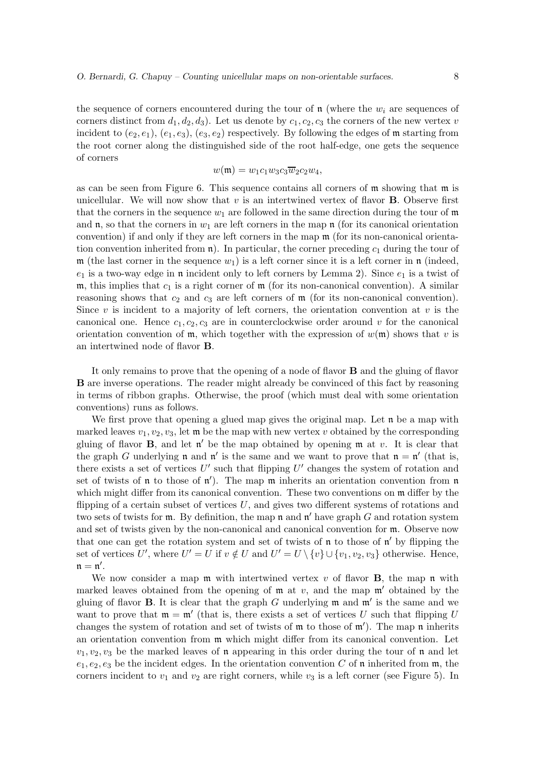the sequence of corners encountered during the tour of  $\mathfrak n$  (where the  $w_i$  are sequences of corners distinct from  $d_1, d_2, d_3$ . Let us denote by  $c_1, c_2, c_3$  the corners of the new vertex v incident to  $(e_2, e_1)$ ,  $(e_1, e_3)$ ,  $(e_3, e_2)$  respectively. By following the edges of m starting from the root corner along the distinguished side of the root half-edge, one gets the sequence of corners

$$
w(\mathfrak{m})=w_1c_1w_3c_3\overline{w}_2c_2w_4,
$$

as can be seen from Figure 6. This sequence contains all corners of  $m$  showing that  $m$  is unicellular. We will now show that  $v$  is an intertwined vertex of flavor **B**. Observe first that the corners in the sequence  $w_1$  are followed in the same direction during the tour of  $\mathfrak m$ and  $\mathfrak n$ , so that the corners in  $w_1$  are left corners in the map  $\mathfrak n$  (for its canonical orientation convention) if and only if they are left corners in the map m (for its non-canonical orientation convention inherited from  $\mathfrak{n}$ ). In particular, the corner preceding  $c_1$  during the tour of  $\mathfrak{m}$  (the last corner in the sequence  $w_1$ ) is a left corner since it is a left corner in  $\mathfrak{n}$  (indeed,  $e_1$  is a two-way edge in n incident only to left corners by Lemma 2). Since  $e_1$  is a twist of m, this implies that  $c_1$  is a right corner of m (for its non-canonical convention). A similar reasoning shows that  $c_2$  and  $c_3$  are left corners of  $\mathfrak m$  (for its non-canonical convention). Since v is incident to a majority of left corners, the orientation convention at v is the canonical one. Hence  $c_1, c_2, c_3$  are in counterclockwise order around v for the canonical orientation convention of  $\mathfrak{m}$ , which together with the expression of  $w(\mathfrak{m})$  shows that v is an intertwined node of flavor B.

It only remains to prove that the opening of a node of flavor B and the gluing of flavor B are inverse operations. The reader might already be convinced of this fact by reasoning in terms of ribbon graphs. Otherwise, the proof (which must deal with some orientation conventions) runs as follows.

We first prove that opening a glued map gives the original map. Let  $\mathfrak n$  be a map with marked leaves  $v_1, v_2, v_3$ , let  $\mathfrak{m}$  be the map with new vertex v obtained by the corresponding gluing of flavor  $B$ , and let  $\mathfrak{n}'$  be the map obtained by opening  $\mathfrak{m}$  at  $v$ . It is clear that the graph G underlying  $\mathfrak n$  and  $\mathfrak n'$  is the same and we want to prove that  $\mathfrak n = \mathfrak n'$  (that is, there exists a set of vertices  $U'$  such that flipping  $U'$  changes the system of rotation and set of twists of  $\mathfrak n$  to those of  $\mathfrak n'$ ). The map  $\mathfrak m$  inherits an orientation convention from  $\mathfrak n$ which might differ from its canonical convention. These two conventions on  $\mathfrak{m}$  differ by the flipping of a certain subset of vertices  $U$ , and gives two different systems of rotations and two sets of twists for  $\mathfrak{m}$ . By definition, the map  $\mathfrak{n}$  and  $\mathfrak{n}'$  have graph G and rotation system and set of twists given by the non-canonical and canonical convention for m. Observe now that one can get the rotation system and set of twists of  $\mathfrak n$  to those of  $\mathfrak n'$  by flipping the set of vertices U', where  $U' = U$  if  $v \notin U$  and  $U' = U \setminus \{v\} \cup \{v_1, v_2, v_3\}$  otherwise. Hence,  $\mathfrak{n}=\mathfrak{n}'.$ 

We now consider a map  $\mathfrak m$  with intertwined vertex v of flavor **B**, the map  $\mathfrak n$  with marked leaves obtained from the opening of  $\mathfrak{m}$  at v, and the map  $\mathfrak{m}'$  obtained by the gluing of flavor **B**. It is clear that the graph G underlying  $\mathfrak{m}$  and  $\mathfrak{m}'$  is the same and we want to prove that  $\mathfrak{m} = \mathfrak{m}'$  (that is, there exists a set of vertices U such that flipping U changes the system of rotation and set of twists of m to those of m′ ). The map n inherits an orientation convention from m which might differ from its canonical convention. Let  $v_1, v_2, v_3$  be the marked leaves of **n** appearing in this order during the tour of **n** and let  $e_1, e_2, e_3$  be the incident edges. In the orientation convention C of **n** inherited from **m**, the corners incident to  $v_1$  and  $v_2$  are right corners, while  $v_3$  is a left corner (see Figure 5). In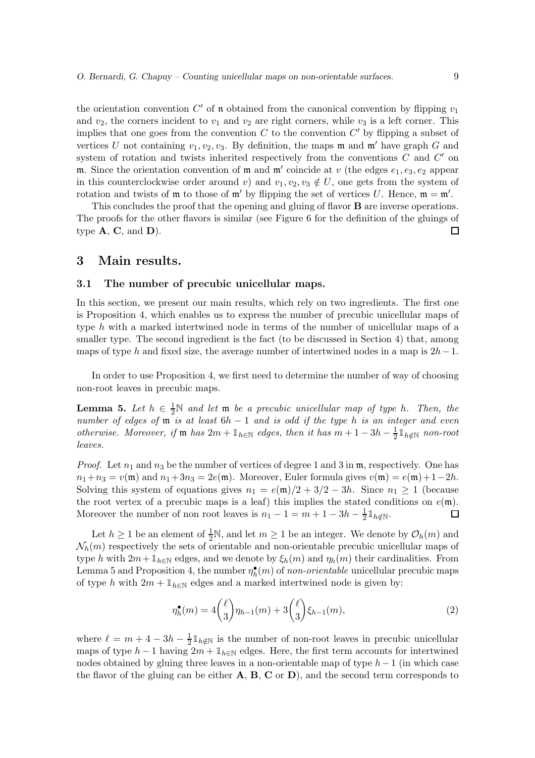the orientation convention  $C'$  of **n** obtained from the canonical convention by flipping  $v_1$ and  $v_2$ , the corners incident to  $v_1$  and  $v_2$  are right corners, while  $v_3$  is a left corner. This implies that one goes from the convention  $C$  to the convention  $C'$  by flipping a subset of vertices U not containing  $v_1, v_2, v_3$ . By definition, the maps m and m' have graph G and system of rotation and twists inherited respectively from the conventions  $C$  and  $C'$  on m. Since the orientation convention of m and m' coincide at v (the edges  $e_1, e_3, e_2$  appear in this counterclockwise order around v) and  $v_1, v_2, v_3 \notin U$ , one gets from the system of rotation and twists of  $\mathfrak{m}$  to those of  $\mathfrak{m}'$  by flipping the set of vertices U. Hence,  $\mathfrak{m} = \mathfrak{m}'$ .

This concludes the proof that the opening and gluing of flavor **B** are inverse operations. The proofs for the other flavors is similar (see Figure 6 for the definition of the gluings of type  $\mathbf{A}, \mathbf{C}, \text{and } \mathbf{D}$ .  $\Box$ 

### 3 Main results.

#### 3.1 The number of precubic unicellular maps.

In this section, we present our main results, which rely on two ingredients. The first one is Proposition 4, which enables us to express the number of precubic unicellular maps of type h with a marked intertwined node in terms of the number of unicellular maps of a smaller type. The second ingredient is the fact (to be discussed in Section 4) that, among maps of type h and fixed size, the average number of intertwined nodes in a map is  $2h-1$ .

In order to use Proposition 4, we first need to determine the number of way of choosing non-root leaves in precubic maps.

**Lemma 5.** Let  $h \in \frac{1}{2}N$  and let  $m$  be a precubic unicellular map of type h. Then, the *number of edges of* <sup>m</sup> *is at least* <sup>6</sup><sup>h</sup> <sup>−</sup> <sup>1</sup> *and is odd if the type* <sup>h</sup> *is an integer and even otherwise. Moreover, if*  $\mathfrak{m}$  *has*  $2m + \mathbb{1}_{h \in \mathbb{N}}$  *edges, then it has*  $m + 1 - 3h - \frac{1}{2} \mathbb{1}_{h \notin \mathbb{N}}$  *non-root leaves.*

*Proof.* Let  $n_1$  and  $n_3$  be the number of vertices of degree 1 and 3 in  $m$ , respectively. One has  $n_1+n_3 = v(\mathfrak{m})$  and  $n_1+3n_3 = 2e(\mathfrak{m})$ . Moreover, Euler formula gives  $v(\mathfrak{m}) = e(\mathfrak{m})+1-2h$ . Solving this system of equations gives  $n_1 = e(\mathfrak{m})/2 + 3/2 - 3h$ . Since  $n_1 \geq 1$  (because the root vertex of a precubic maps is a leaf) this implies the stated conditions on  $e(\mathfrak{m})$ . Moreover the number of non root leaves is  $n_1 - 1 = m + 1 - 3h - \frac{1}{2}$  $\frac{1}{2} \mathbb{1}_{h \notin \mathbb{N}}.$ 囗

Let  $h \geq 1$  be an element of  $\frac{1}{2}N$ , and let  $m \geq 1$  be an integer. We denote by  $\mathcal{O}_h(m)$  and  $\mathcal{N}_h(m)$  respectively the sets of orientable and non-orientable precubic unicellular maps of type h with  $2m + \mathbb{1}_{h \in \mathbb{N}}$  edges, and we denote by  $\xi_h(m)$  and  $\eta_h(m)$  their cardinalities. From Lemma 5 and Proposition 4, the number  $\eta_h^{\bullet}(m)$  of *non-orientable* unicellular precubic maps of type h with  $2m + \mathbb{1}_{h \in \mathbb{N}}$  edges and a marked intertwined node is given by:

$$
\eta_h^{\bullet}(m) = 4\binom{\ell}{3} \eta_{h-1}(m) + 3\binom{\ell}{3} \xi_{h-1}(m),\tag{2}
$$

where  $\ell = m + 4 - 3h - \frac{1}{2}$  $\frac{1}{2} \mathbb{1}_{h \notin \mathbb{N}}$  is the number of non-root leaves in precubic unicellular maps of type  $h-1$  having  $2m + \mathbb{1}_{h \in \mathbb{N}}$  edges. Here, the first term accounts for intertwined nodes obtained by gluing three leaves in a non-orientable map of type  $h-1$  (in which case the flavor of the gluing can be either  $A$ ,  $B$ ,  $C$  or  $D$ ), and the second term corresponds to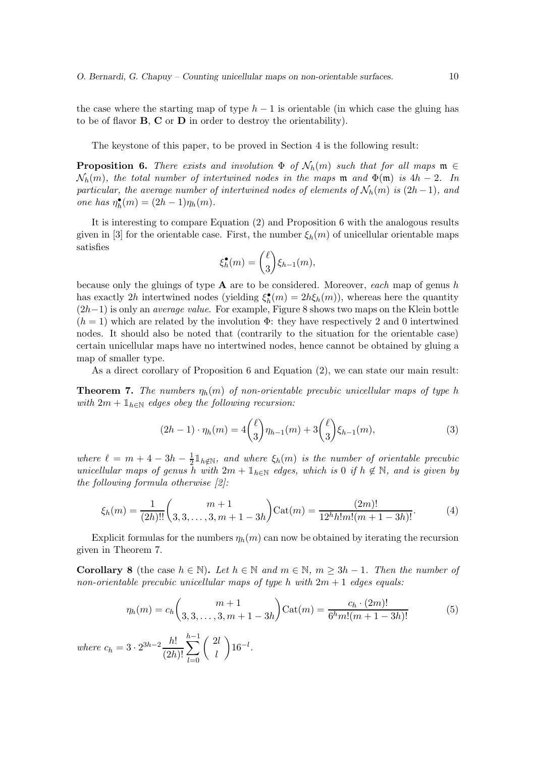the case where the starting map of type  $h-1$  is orientable (in which case the gluing has to be of flavor  $\bf{B}, \bf{C}$  or  $\bf{D}$  in order to destroy the orientability).

The keystone of this paper, to be proved in Section 4 is the following result:

**Proposition 6.** There exists and involution  $\Phi$  of  $\mathcal{N}_h(m)$  such that for all maps  $\mathfrak{m} \in$  $\mathcal{N}_h(m)$ , the total number of intertwined nodes in the maps m and  $\Phi(m)$  is  $4h-2$ . In *particular, the average number of intertwined nodes of elements of*  $\mathcal{N}_h(m)$  *is*  $(2h-1)$ *, and one has*  $\eta_h^{\bullet}(m) = (2h - 1)\eta_h(m)$ *.* 

It is interesting to compare Equation (2) and Proposition 6 with the analogous results given in [3] for the orientable case. First, the number  $\xi_h(m)$  of unicellular orientable maps satisfies

$$
\xi_h^{\bullet}(m) = {\ell \choose 3} \xi_{h-1}(m),
$$

because only the gluings of type A are to be considered. Moreover, *each* map of genus h has exactly 2h intertwined nodes (yielding  $\xi_h^{\bullet}(m) = 2h\xi_h(m)$ ), whereas here the quantity (2h−1) is only an *average value*. For example, Figure 8 shows two maps on the Klein bottle  $(h = 1)$  which are related by the involution  $\Phi$ : they have respectively 2 and 0 intertwined nodes. It should also be noted that (contrarily to the situation for the orientable case) certain unicellular maps have no intertwined nodes, hence cannot be obtained by gluing a map of smaller type.

As a direct corollary of Proposition 6 and Equation (2), we can state our main result:

**Theorem 7.** The numbers  $\eta_h(m)$  of non-orientable precubic unicellular maps of type h *with*  $2m + \mathbb{1}_{h \in \mathbb{N}}$  *edges obey the following recursion:* 

$$
(2h-1)\cdot \eta_h(m) = 4\binom{\ell}{3}\eta_{h-1}(m) + 3\binom{\ell}{3}\xi_{h-1}(m),\tag{3}
$$

*where*  $\ell = m + 4 - 3h - \frac{1}{2}$  $\frac{1}{2} \mathbb{1}_{h \notin \mathbb{N}}$ , and where  $\xi_h(m)$  is the number of orientable precubic *unicellular maps of genus* h *with*  $2m + \mathbb{1}_{h \in \mathbb{N}}$  *edges, which is* 0 *if*  $h \notin \mathbb{N}$ *, and is given by the following formula otherwise [2]:*

$$
\xi_h(m) = \frac{1}{(2h)!!} \binom{m+1}{3,3,\ldots,3,m+1-3h} \text{Cat}(m) = \frac{(2m)!}{12^h h! m! (m+1-3h)!}. \tag{4}
$$

Explicit formulas for the numbers  $\eta_h(m)$  can now be obtained by iterating the recursion given in Theorem 7.

**Corollary 8** (the case  $h \in \mathbb{N}$ ). Let  $h \in \mathbb{N}$  and  $m \in \mathbb{N}$ ,  $m \geq 3h - 1$ . Then the number of *non-orientable precubic unicellular maps of type* h *with* 2m + 1 *edges equals:*

$$
\eta_h(m) = c_h \binom{m+1}{3,3,\dots,3,m+1-3h} \text{Cat}(m) = \frac{c_h \cdot (2m)!}{6^h m! (m+1-3h)!} \tag{5}
$$

*where*  $c_h = 3 \cdot 2^{3h-2} \frac{h!}{(2h)!}$  $(2h)!$  $\sum^{h-1}$  $_{l=0}$  $\sqrt{2l}$ l  $\Big) 16^{-l}$ .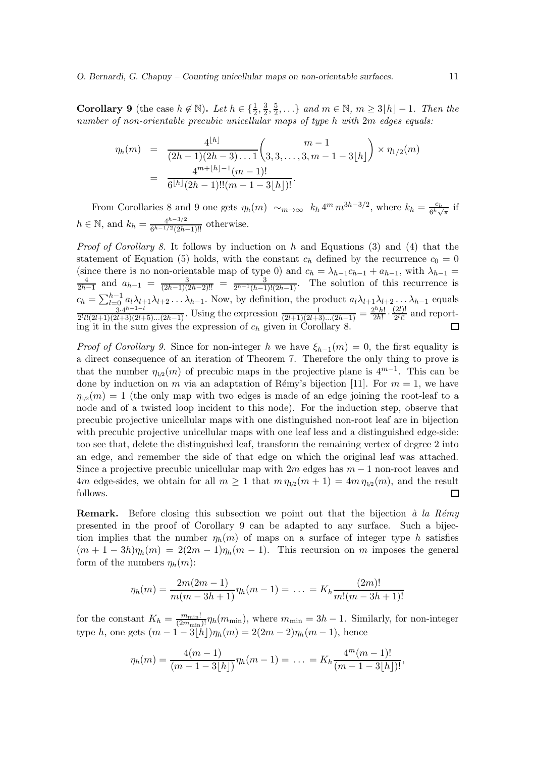**Corollary 9** (the case  $h \notin \mathbb{N}$ ). Let  $h \in \{\frac{1}{2}, \frac{3}{2}\}$  $\frac{3}{2}, \frac{5}{2}$  $\frac{5}{2}, \ldots$ } and  $m \in \mathbb{N}$ ,  $m \geq 3\lfloor h \rfloor - 1$ . Then the *number of non-orientable precubic unicellular maps of type* h *with* 2m *edges equals:*

$$
\eta_h(m) = \frac{4^{\lfloor h \rfloor}}{(2h-1)(2h-3)\dots 1} {m-1 \choose 3,3,\dots,3,m-1-3\lfloor h \rfloor} \times \eta_{1/2}(m)
$$

$$
= \frac{4^{m+\lfloor h \rfloor -1}(m-1)!}{6^{\lfloor h \rfloor}(2h-1)!!(m-1-3\lfloor h \rfloor)!}.
$$

From Corollaries 8 and 9 one gets  $\eta_h(m) \sim_{m \to \infty} k_h 4^m m^{3h-3/2}$ , where  $k_h = \frac{c_h}{6^h \sqrt{m}}$  $\frac{c_h}{6^h\sqrt{\pi}}$  if  $h \in \mathbb{N}$ , and  $k_h = \frac{4^{h-3/2}}{6^{h-1/2}(2h)}$  $\frac{4^{n-3/2}}{6^{h-1/2}(2h-1)!!}$  otherwise.

*Proof of Corollary 8.* It follows by induction on h and Equations (3) and (4) that the statement of Equation (5) holds, with the constant  $c_h$  defined by the recurrence  $c_0 = 0$ (since there is no non-orientable map of type 0) and  $c_h = \lambda_{h-1}c_{h-1} + a_{h-1}$ , with  $\lambda_{h-1} = \frac{4}{h-1}$  and  $a_{h-1} = \frac{3}{h-1}$  =  $\frac{3}{h-1}$  The solution of this recurrence is  $\frac{4}{2h-1}$  and  $a_{h-1} = \frac{3}{(2h-1)(2h-2)!!} = \frac{3}{2^{h-1}(h-1)!(2h-1)}$ . The solution of this recurrence is  $c_h = \sum_{l=0}^{h-1} a_l \lambda_{l+1} \lambda_{l+2} \ldots \lambda_{h-1}$ . Now, by definition, the product  $a_l \lambda_{l+1} \lambda_{l+2} \ldots \lambda_{h-1}$  equals  $\frac{3 \cdot 4^{h-1-l}}{2}$  $\frac{3 \cdot 4^{h-1-l}}{2^l l!(2l+1)(2l+3)(2l+5)...(2h-1)}$ . Using the expression  $\frac{1}{(2l+1)(2l+3)...(2h-1)} = \frac{2^h h!}{2h!}$  $\frac{2^h h!}{2h!} \cdot \frac{(2l)!}{2^l l!}$  $\frac{2ij!}{2^l l!}$  and reporting it in the sum gives the expression of  $c_h$  given in Corollary 8.

*Proof of Corollary 9.* Since for non-integer h we have  $\xi_{h-1}(m) = 0$ , the first equality is a direct consequence of an iteration of Theorem 7. Therefore the only thing to prove is that the number  $\eta_{1/2}(m)$  of precubic maps in the projective plane is  $4^{m-1}$ . This can be done by induction on m via an adaptation of Rémy's bijection [11]. For  $m = 1$ , we have  $\eta_{1/2}(m) = 1$  (the only map with two edges is made of an edge joining the root-leaf to a node and of a twisted loop incident to this node). For the induction step, observe that precubic projective unicellular maps with one distinguished non-root leaf are in bijection with precubic projective unicellular maps with one leaf less and a distinguished edge-side: too see that, delete the distinguished leaf, transform the remaining vertex of degree 2 into an edge, and remember the side of that edge on which the original leaf was attached. Since a projective precubic unicellular map with  $2m$  edges has  $m-1$  non-root leaves and 4m edge-sides, we obtain for all  $m \ge 1$  that  $m \eta_{1/2}(m + 1) = 4m \eta_{1/2}(m)$ , and the result follows. □

**Remark.** Before closing this subsection we point out that the bijection *à la Rémy* presented in the proof of Corollary 9 can be adapted to any surface. Such a bijection implies that the number  $\eta_h(m)$  of maps on a surface of integer type h satisfies  $(m + 1 - 3h)\eta_h(m) = 2(2m - 1)\eta_h(m - 1)$ . This recursion on m imposes the general form of the numbers  $\eta_h(m)$ :

$$
\eta_h(m) = \frac{2m(2m-1)}{m(m-3h+1)} \eta_h(m-1) = \ldots = K_h \frac{(2m)!}{m!(m-3h+1)!}
$$

for the constant  $K_h = \frac{m_{\text{min}}!}{(2m_{\text{min}})!} \eta_h(m_{\text{min}})$ , where  $m_{\text{min}} = 3h - 1$ . Similarly, for non-integer type h, one gets  $(m - 1 - 3\lfloor h \rfloor)\eta_h(m) = 2(2m - 2)\eta_h(m - 1)$ , hence

$$
\eta_h(m) = \frac{4(m-1)}{(m-1-3\lfloor h\rfloor)}\eta_h(m-1) = \ldots = K_h \frac{4^m(m-1)!}{(m-1-3\lfloor h\rfloor)!},
$$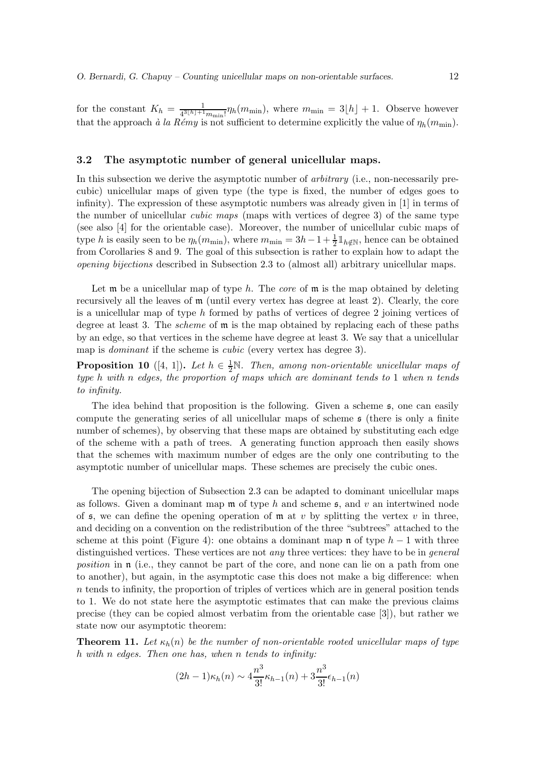for the constant  $K_h = \frac{1}{4^3[h]+1}$  $\frac{1}{4^{3[h]+1}m_{\min}!}\eta_h(m_{\min}),$  where  $m_{\min} = 3[h] + 1$ . Observe however that the approach *à la Rémy* is not sufficient to determine explicitly the value of  $\eta_h(m_{\text{min}})$ .

#### 3.2 The asymptotic number of general unicellular maps.

In this subsection we derive the asymptotic number of *arbitrary* (i.e., non-necessarily precubic) unicellular maps of given type (the type is fixed, the number of edges goes to infinity). The expression of these asymptotic numbers was already given in [1] in terms of the number of unicellular *cubic maps* (maps with vertices of degree 3) of the same type (see also [4] for the orientable case). Moreover, the number of unicellular cubic maps of type h is easily seen to be  $\eta_h(m_{\min})$ , where  $m_{\min} = 3h - 1 + \frac{1}{2} \mathbb{1}_{h \notin \mathbb{N}}$ , hence can be obtained from Corollaries 8 and 9. The goal of this subsection is rather to explain how to adapt the *opening bijections* described in Subsection 2.3 to (almost all) arbitrary unicellular maps.

Let m be a unicellular map of type h. The *core* of m is the map obtained by deleting recursively all the leaves of m (until every vertex has degree at least 2). Clearly, the core is a unicellular map of type  $h$  formed by paths of vertices of degree 2 joining vertices of degree at least 3. The *scheme* of m is the map obtained by replacing each of these paths by an edge, so that vertices in the scheme have degree at least 3. We say that a unicellular map is *dominant* if the scheme is *cubic* (every vertex has degree 3).

**Proposition 10** ([4, 1]). Let  $h \in \frac{1}{2}N$ . Then, among non-orientable unicellular maps of *type* h *with* n *edges, the proportion of maps which are dominant tends to* 1 *when* n *tends to infinity.*

The idea behind that proposition is the following. Given a scheme s, one can easily compute the generating series of all unicellular maps of scheme s (there is only a finite number of schemes), by observing that these maps are obtained by substituting each edge of the scheme with a path of trees. A generating function approach then easily shows that the schemes with maximum number of edges are the only one contributing to the asymptotic number of unicellular maps. These schemes are precisely the cubic ones.

The opening bijection of Subsection 2.3 can be adapted to dominant unicellular maps as follows. Given a dominant map  $\mathfrak m$  of type h and scheme  $\mathfrak s$ , and v an intertwined node of  $\mathfrak s$ , we can define the opening operation of  $\mathfrak m$  at  $v$  by splitting the vertex  $v$  in three, and deciding on a convention on the redistribution of the three "subtrees" attached to the scheme at this point (Figure 4): one obtains a dominant map  $\mathfrak n$  of type  $h-1$  with three distinguished vertices. These vertices are not *any* three vertices: they have to be in *general position* in **n** (i.e., they cannot be part of the core, and none can lie on a path from one to another), but again, in the asymptotic case this does not make a big difference: when  $n$  tends to infinity, the proportion of triples of vertices which are in general position tends to 1. We do not state here the asymptotic estimates that can make the previous claims precise (they can be copied almost verbatim from the orientable case [3]), but rather we state now our asymptotic theorem:

**Theorem 11.** Let  $\kappa_h(n)$  be the number of non-orientable rooted unicellular maps of type h *with* n *edges. Then one has, when* n *tends to infinity:*

$$
(2h-1)\kappa_h(n) \sim 4\frac{n^3}{3!} \kappa_{h-1}(n) + 3\frac{n^3}{3!} \epsilon_{h-1}(n)
$$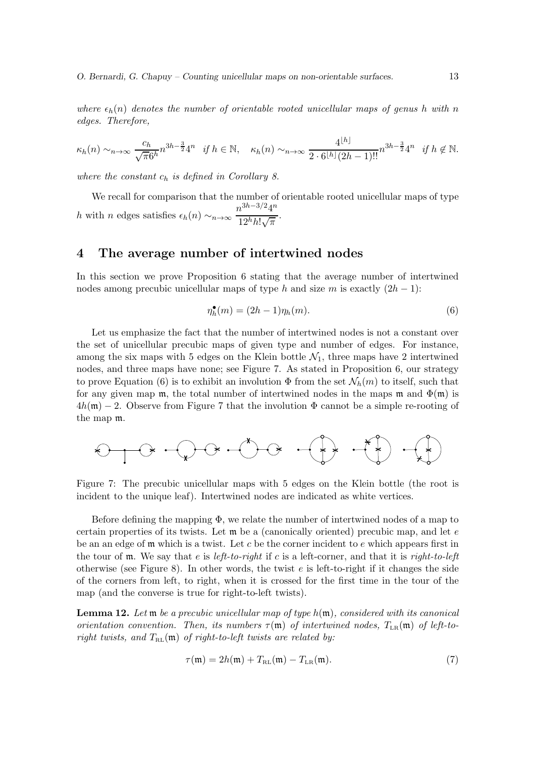*where*  $\epsilon_h(n)$  *denotes the number of orientable rooted unicellular maps of genus h with* n *edges. Therefore,*

$$
\kappa_h(n) \sim_{n \to \infty} \frac{c_h}{\sqrt{\pi} 6^h} n^{3h - \frac{3}{2}} 4^n \quad \text{if } h \in \mathbb{N}, \quad \kappa_h(n) \sim_{n \to \infty} \frac{4^{\lfloor h \rfloor}}{2 \cdot 6^{\lfloor h \rfloor} (2h - 1)!!} n^{3h - \frac{3}{2}} 4^n \quad \text{if } h \notin \mathbb{N}.
$$

*where the constant*  $c_h$  *is defined in Corollary 8.* 

We recall for comparison that the number of orientable rooted unicellular maps of type h with n edges satisfies  $\epsilon_h(n) \sim_{n \to \infty} \frac{n^{3h-3/2}4^n}{12h h! \sqrt{\pi}}$  $\frac{1}{12^h h! \sqrt{\pi}}$ .

## 4 The average number of intertwined nodes

In this section we prove Proposition 6 stating that the average number of intertwined nodes among precubic unicellular maps of type h and size m is exactly  $(2h - 1)$ :

$$
\eta_h^{\bullet}(m) = (2h - 1)\eta_h(m). \tag{6}
$$

Let us emphasize the fact that the number of intertwined nodes is not a constant over the set of unicellular precubic maps of given type and number of edges. For instance, among the six maps with 5 edges on the Klein bottle  $\mathcal{N}_1$ , three maps have 2 intertwined nodes, and three maps have none; see Figure 7. As stated in Proposition 6, our strategy to prove Equation (6) is to exhibit an involution  $\Phi$  from the set  $\mathcal{N}_h(m)$  to itself, such that for any given map  $\mathfrak{m}$ , the total number of intertwined nodes in the maps  $\mathfrak{m}$  and  $\Phi(\mathfrak{m})$  is  $4h(\mathfrak{m})-2$ . Observe from Figure 7 that the involution  $\Phi$  cannot be a simple re-rooting of the map m.

Figure 7: The precubic unicellular maps with 5 edges on the Klein bottle (the root is incident to the unique leaf). Intertwined nodes are indicated as white vertices.

Before defining the mapping  $\Phi$ , we relate the number of intertwined nodes of a map to certain properties of its twists. Let  $\mathfrak{m}$  be a (canonically oriented) precubic map, and let e be an an edge of  $m$  which is a twist. Let c be the corner incident to e which appears first in the tour of m. We say that e is *left-to-right* if c is a left-corner, and that it is *right-to-left* otherwise (see Figure 8). In other words, the twist  $e$  is left-to-right if it changes the side of the corners from left, to right, when it is crossed for the first time in the tour of the map (and the converse is true for right-to-left twists).

Lemma 12. *Let* m *be a precubic unicellular map of type* h(m)*, considered with its canonical orientation convention. Then, its numbers*  $\tau(\mathfrak{m})$  *of intertwined nodes,*  $T_{LR}(\mathfrak{m})$  *of left-toright twists, and*  $T_{RL}(\mathfrak{m})$  *of right-to-left twists are related by:* 

$$
\tau(\mathfrak{m}) = 2h(\mathfrak{m}) + T_{\mathrm{RL}}(\mathfrak{m}) - T_{\mathrm{LR}}(\mathfrak{m}). \tag{7}
$$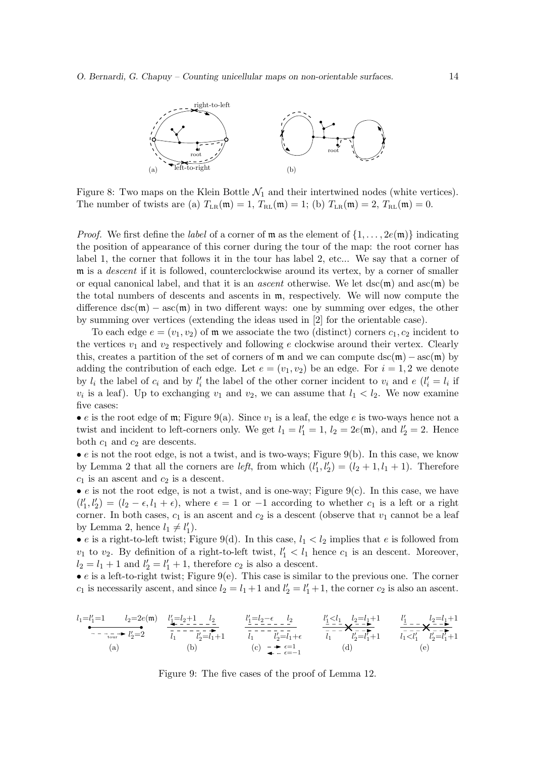

Figure 8: Two maps on the Klein Bottle  $\mathcal{N}_1$  and their intertwined nodes (white vertices). The number of twists are (a)  $T_{LR}(\mathfrak{m}) = 1$ ,  $T_{RL}(\mathfrak{m}) = 1$ ; (b)  $T_{LR}(\mathfrak{m}) = 2$ ,  $T_{RL}(\mathfrak{m}) = 0$ .

*Proof.* We first define the *label* of a corner of  $\mathfrak{m}$  as the element of  $\{1, \ldots, 2e(\mathfrak{m})\}$  indicating the position of appearance of this corner during the tour of the map: the root corner has label 1, the corner that follows it in the tour has label 2, etc... We say that a corner of m is a *descent* if it is followed, counterclockwise around its vertex, by a corner of smaller or equal canonical label, and that it is an *ascent* otherwise. We let dsc(m) and asc(m) be the total numbers of descents and ascents in m, respectively. We will now compute the difference  $\text{dsc}(\mathfrak{m}) - \text{asc}(\mathfrak{m})$  in two different ways: one by summing over edges, the other by summing over vertices (extending the ideas used in [2] for the orientable case).

To each edge  $e = (v_1, v_2)$  of m we associate the two (distinct) corners  $c_1, c_2$  incident to the vertices  $v_1$  and  $v_2$  respectively and following e clockwise around their vertex. Clearly this, creates a partition of the set of corners of m and we can compute dsc(m) – asc(m) by adding the contribution of each edge. Let  $e = (v_1, v_2)$  be an edge. For  $i = 1, 2$  we denote by  $l_i$  the label of  $c_i$  and by  $l'_i$  the label of the other corner incident to  $v_i$  and  $e$   $(l'_i = l_i$  if  $v_i$  is a leaf). Up to exchanging  $v_1$  and  $v_2$ , we can assume that  $l_1 < l_2$ . We now examine five cases:

• e is the root edge of  $m$ ; Figure 9(a). Since  $v_1$  is a leaf, the edge e is two-ways hence not a twist and incident to left-corners only. We get  $l_1 = l'_1 = 1$ ,  $l_2 = 2e(\mathfrak{m})$ , and  $l'_2 = 2$ . Hence both  $c_1$  and  $c_2$  are descents.

 $\bullet$  e is not the root edge, is not a twist, and is two-ways; Figure 9(b). In this case, we know by Lemma 2 that all the corners are *left*, from which  $(l'_1, l'_2) = (l_2 + 1, l_1 + 1)$ . Therefore  $c_1$  is an ascent and  $c_2$  is a descent.

• e is not the root edge, is not a twist, and is one-way; Figure  $9(c)$ . In this case, we have  $(l'_1, l'_2) = (l_2 - \epsilon, l_1 + \epsilon)$ , where  $\epsilon = 1$  or  $-1$  according to whether  $c_1$  is a left or a right corner. In both cases,  $c_1$  is an ascent and  $c_2$  is a descent (observe that  $v_1$  cannot be a leaf by Lemma 2, hence  $l_1 \neq l'_1$ .

• e is a right-to-left twist; Figure 9(d). In this case,  $l_1 < l_2$  implies that e is followed from  $v_1$  to  $v_2$ . By definition of a right-to-left twist,  $l'_1 < l_1$  hence  $c_1$  is an descent. Moreover,  $l_2 = l_1 + 1$  and  $l'_2 = l'_1 + 1$ , therefore  $c_2$  is also a descent.

 $\bullet$  e is a left-to-right twist; Figure 9(e). This case is similar to the previous one. The corner  $c_1$  is necessarily ascent, and since  $l_2 = l_1 + 1$  and  $l'_2 = l'_1 + 1$ , the corner  $c_2$  is also an ascent.

$$
\begin{array}{ccccccccc}\nl_1=l'_1=1 & l_2=2e(\mathfrak{m}) & \underbrace{l'_1=l_2+1}_{--\ldots\ldots r} & l'_2=2 & \overbrace{l_1}^{--\ldots}-\underbrace{l'_2}_{l_1} & l'_1= l_2-\epsilon & l_2 & l'_1= l_1+\epsilon & \overbrace{l_1}^{--\ldots}-\underbrace{l'_2}_{l_1} & l'_1= l_1+\epsilon & \overbrace{l_1}^{--\ldots}-\underbrace{l'_2}_{l_1} & l'_1= l'_1+1 & \overbrace{l_1}^{l_1-l_1} & l'_1= - & \overbrace{l_1}^{l_1-l_1} & l'_1= l'_1+1\\ (a) & & (b) & & (c) &\underset{\bullet\qquad \bullet\qquad \bullet\qquad \bullet\qquad \epsilon=1}^{--\epsilon=-1} & & (d) & & (e) & & \end{array}
$$

Figure 9: The five cases of the proof of Lemma 12.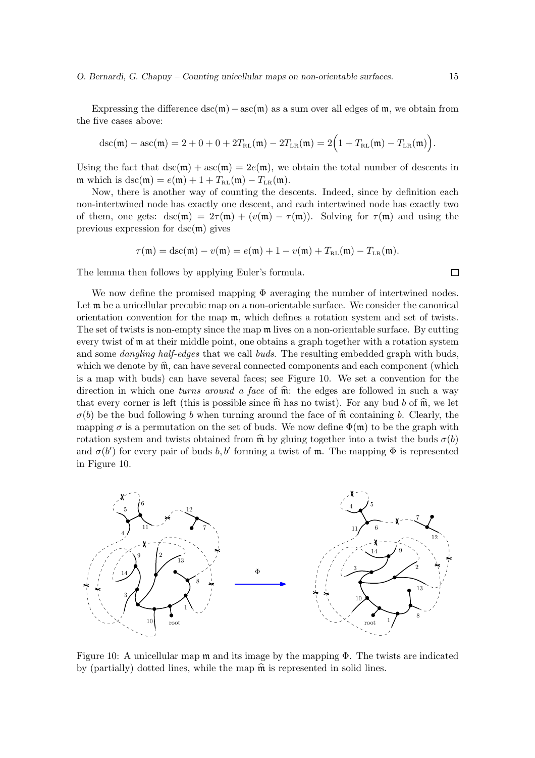Expressing the difference  $\text{dsc}(\mathfrak{m}) - \text{asc}(\mathfrak{m})$  as a sum over all edges of  $\mathfrak{m}$ , we obtain from the five cases above:

$$
dsc(\mathfrak{m}) - asc(\mathfrak{m}) = 2 + 0 + 0 + 2T_{RL}(\mathfrak{m}) - 2T_{LR}(\mathfrak{m}) = 2(1 + T_{RL}(\mathfrak{m}) - T_{LR}(\mathfrak{m})).
$$

Using the fact that  $\text{dsc}(\mathfrak{m}) + \text{asc}(\mathfrak{m}) = 2e(\mathfrak{m})$ , we obtain the total number of descents in m which is dsc(m) =  $e(\mathfrak{m}) + 1 + T_{RL}(\mathfrak{m}) - T_{LR}(\mathfrak{m}).$ 

Now, there is another way of counting the descents. Indeed, since by definition each non-intertwined node has exactly one descent, and each intertwined node has exactly two of them, one gets:  $dsc(m) = 2\tau(m) + (v(m) - \tau(m))$ . Solving for  $\tau(m)$  and using the previous expression for  $dsc(m)$  gives

$$
\tau(\mathfrak{m}) = \mathrm{dsc}(\mathfrak{m}) - v(\mathfrak{m}) = e(\mathfrak{m}) + 1 - v(\mathfrak{m}) + T_{\mathrm{RL}}(\mathfrak{m}) - T_{\mathrm{LR}}(\mathfrak{m}).
$$

The lemma then follows by applying Euler's formula.

We now define the promised mapping  $\Phi$  averaging the number of intertwined nodes. Let  $\mathfrak m$  be a unicellular precubic map on a non-orientable surface. We consider the canonical orientation convention for the map m, which defines a rotation system and set of twists. The set of twists is non-empty since the map  $\mathfrak m$  lives on a non-orientable surface. By cutting every twist of m at their middle point, one obtains a graph together with a rotation system and some *dangling half-edges* that we call *buds*. The resulting embedded graph with buds, which we denote by  $\widehat{\mathfrak{m}}$ , can have several connected components and each component (which is a map with buds) can have several faces; see Figure 10. We set a convention for the direction in which one *turns around a face* of  $\hat{m}$ : the edges are followed in such a way that every corner is left (this is possible since  $\hat{\mathfrak{m}}$  has no twist). For any bud b of  $\hat{\mathfrak{m}}$ , we let  $\sigma(b)$  be the bud following b when turning around the face of  $\hat{\mathfrak{m}}$  containing b. Clearly, the mapping  $\sigma$  is a permutation on the set of buds. We now define  $\Phi(\mathfrak{m})$  to be the graph with rotation system and twists obtained from  $\hat{\mathfrak{m}}$  by gluing together into a twist the buds  $\sigma(b)$ and  $\sigma(b')$  for every pair of buds b, b' forming a twist of m. The mapping  $\Phi$  is represented in Figure 10.



Figure 10: A unicellular map  $\mathfrak m$  and its image by the mapping  $\Phi$ . The twists are indicated by (partially) dotted lines, while the map  $\hat{\mathfrak{m}}$  is represented in solid lines.

 $\Box$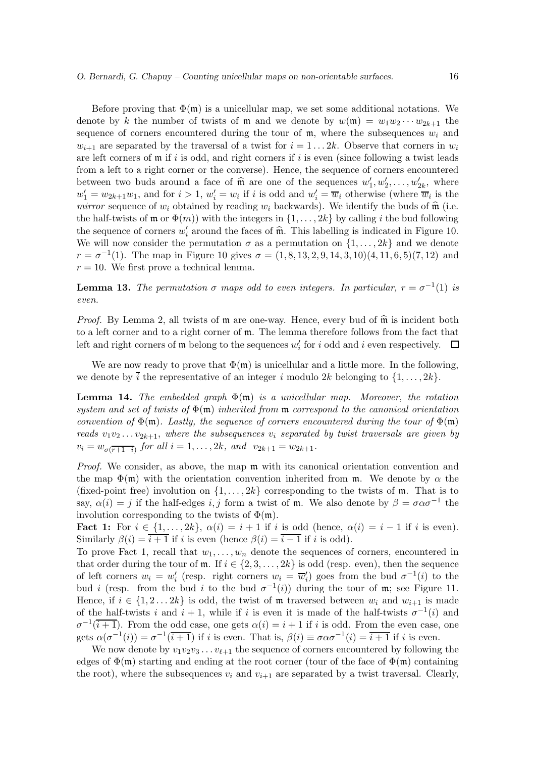Before proving that  $\Phi(\mathfrak{m})$  is a unicellular map, we set some additional notations. We denote by k the number of twists of **m** and we denote by  $w(\mathfrak{m}) = w_1w_2 \cdots w_{2k+1}$  the sequence of corners encountered during the tour of  $m$ , where the subsequences  $w_i$  and  $w_{i+1}$  are separated by the traversal of a twist for  $i = 1 \dots 2k$ . Observe that corners in  $w_i$ are left corners of  $\mathfrak m$  if i is odd, and right corners if i is even (since following a twist leads from a left to a right corner or the converse). Hence, the sequence of corners encountered between two buds around a face of  $\hat{\mathfrak{m}}$  are one of the sequences  $w'_1, w'_2, \ldots, w'_{2k}$ , where  $w'_1 = w_{2k+1}w_1$ , and for  $i > 1$ ,  $w'_i = w_i$  if i is odd and  $w'_i = \overline{w}_i$  otherwise (where  $\overline{w}_i$  is the *mirror* sequence of  $w_i$  obtained by reading  $w_i$  backwards). We identify the buds of  $\hat{\mathfrak{m}}$  (i.e. the half-twists of  $\mathfrak{m}$  or  $\Phi(m)$ ) with the integers in  $\{1, \ldots, 2k\}$  by calling i the bud following the sequence of corners  $w'_i$  around the faces of  $\hat{\mathfrak{m}}$ . This labelling is indicated in Figure 10. We will now consider the permutation  $\sigma$  as a permutation on  $\{1, \ldots, 2k\}$  and we denote  $r = \sigma^{-1}(1)$ . The map in Figure 10 gives  $\sigma = (1, 8, 13, 2, 9, 14, 3, 10)(4, 11, 6, 5)(7, 12)$  and  $r = 10$ . We first prove a technical lemma.

**Lemma 13.** The permutation  $\sigma$  maps odd to even integers. In particular,  $r = \sigma^{-1}(1)$  is *even.*

*Proof.* By Lemma 2, all twists of  $\mathfrak m$  are one-way. Hence, every bud of  $\widehat{\mathfrak m}$  is incident both to a left corner and to a right corner of m. The lemma therefore follows from the fact that left and right corners of  $\mathfrak m$  belong to the sequences  $w'_i$  for i odd and i even respectively.  $\Box$ 

We are now ready to prove that  $\Phi(\mathfrak{m})$  is unicellular and a little more. In the following, we denote by  $\overline{i}$  the representative of an integer i modulo 2k belonging to  $\{1, \ldots, 2k\}$ .

**Lemma 14.** The embedded graph  $\Phi(\mathfrak{m})$  is a unicellular map. Moreover, the rotation *system and set of twists of* Φ(m) *inherited from* m *correspond to the canonical orientation convention of*  $\Phi(\mathfrak{m})$ *. Lastly, the sequence of corners encountered during the tour of*  $\Phi(\mathfrak{m})$ *reads*  $v_1v_2 \ldots v_{2k+1}$ , *where the subsequences*  $v_i$  *separated by twist traversals are given by*  $v_i = w_{\sigma(\overline{r+1-i})}$  *for all*  $i = 1, ..., 2k$ *, and*  $v_{2k+1} = w_{2k+1}$ *.* 

*Proof.* We consider, as above, the map  $m$  with its canonical orientation convention and the map  $\Phi(\mathfrak{m})$  with the orientation convention inherited from  $\mathfrak{m}$ . We denote by  $\alpha$  the (fixed-point free) involution on  $\{1, \ldots, 2k\}$  corresponding to the twists of m. That is to say,  $\alpha(i) = j$  if the half-edges i, j form a twist of m. We also denote by  $\beta = \sigma \alpha \sigma^{-1}$  the involution corresponding to the twists of  $\Phi(\mathfrak{m})$ .

Fact 1: For  $i \in \{1, \ldots, 2k\}, \alpha(i) = i+1$  if i is odd (hence,  $\alpha(i) = i-1$  if i is even). Similarly  $\beta(i) = \overline{i+1}$  if i is even (hence  $\beta(i) = \overline{i-1}$  if i is odd).

To prove Fact 1, recall that  $w_1, \ldots, w_n$  denote the sequences of corners, encountered in that order during the tour of  $m$ . If  $i \in \{2, 3, ..., 2k\}$  is odd (resp. even), then the sequence of left corners  $w_i = w'_i$  (resp. right corners  $w_i = \overline{w}'_i$ ) goes from the bud  $\sigma^{-1}(i)$  to the bud *i* (resp. from the bud *i* to the bud  $\sigma^{-1}(i)$ ) during the tour of m; see Figure 11. Hence, if  $i \in \{1, 2, \ldots, 2k\}$  is odd, the twist of m traversed between  $w_i$  and  $w_{i+1}$  is made of the half-twists i and  $i + 1$ , while if i is even it is made of the half-twists  $\sigma^{-1}(i)$  and  $\sigma^{-1}(\overline{i+1})$ . From the odd case, one gets  $\alpha(i) = i+1$  if i is odd. From the even case, one gets  $\alpha(\sigma^{-1}(i)) = \sigma^{-1}(\overline{i+1})$  if i is even. That is,  $\beta(i) \equiv \sigma \alpha \sigma^{-1}(i) = \overline{i+1}$  if i is even.

We now denote by  $v_1v_2v_3 \ldots v_{\ell+1}$  the sequence of corners encountered by following the edges of  $\Phi(\mathfrak{m})$  starting and ending at the root corner (tour of the face of  $\Phi(\mathfrak{m})$ ) containing the root), where the subsequences  $v_i$  and  $v_{i+1}$  are separated by a twist traversal. Clearly,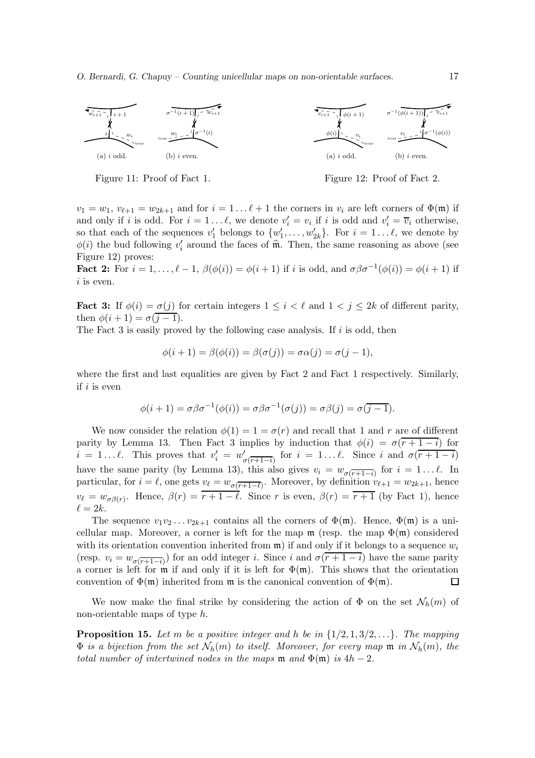

Figure 11: Proof of Fact 1.

Figure 12: Proof of Fact 2.

 $v_1 = w_1, v_{\ell+1} = w_{2k+1}$  and for  $i = 1 \dots \ell+1$  the corners in  $v_i$  are left corners of  $\Phi(\mathfrak{m})$  if and only if i is odd. For  $i = 1...l$ , we denote  $v'_i = v_i$  if i is odd and  $v'_i = \overline{v}_i$  otherwise, so that each of the sequences  $v'_1$  belongs to  $\{w'_1, \ldots, w'_{2k}\}$ . For  $i = 1 \ldots \ell$ , we denote by  $\phi(i)$  the bud following  $v'_i$  around the faces of  $\hat{\mathfrak{m}}$ . Then, the same reasoning as above (see Figure 12) proves:

**Fact 2:** For  $i = 1, ..., \ell - 1$ ,  $\beta(\phi(i)) = \phi(i+1)$  if i is odd, and  $\sigma\beta\sigma^{-1}(\phi(i)) = \phi(i+1)$  if  $i$  is even.

**Fact 3:** If  $\phi(i) = \sigma(j)$  for certain integers  $1 \leq i < \ell$  and  $1 < j \leq 2k$  of different parity, then  $\phi(i+1) = \sigma(i-1)$ .

The Fact 3 is easily proved by the following case analysis. If  $i$  is odd, then

$$
\phi(i+1) = \beta(\phi(i)) = \beta(\sigma(j)) = \sigma\alpha(j) = \sigma(j-1),
$$

where the first and last equalities are given by Fact 2 and Fact 1 respectively. Similarly, if  $i$  is even

$$
\phi(i+1) = \sigma \beta \sigma^{-1}(\phi(i)) = \sigma \beta \sigma^{-1}(\sigma(j)) = \sigma \beta(j) = \sigma(j-1).
$$

We now consider the relation  $\phi(1) = 1 = \sigma(r)$  and recall that 1 and r are of different parity by Lemma 13. Then Fact 3 implies by induction that  $\phi(i) = \sigma(\overline{r+1-i})$  for  $i = 1...l$ . This proves that  $v'_i = w'_{\sigma(\overline{r+1-i})}$  for  $i = 1...l$ . Since i and  $\sigma(\overline{r+1-i})$ have the same parity (by Lemma 13), this also gives  $v_i = w_{\sigma(\overline{r+1-i})}$  for  $i = 1 \dots \ell$ . In particular, for  $i = \ell$ , one gets  $v_{\ell} = w_{\sigma(\overline{r+1-\ell})}$ . Moreover, by definition  $v_{\ell+1} = w_{2k+1}$ , hence  $v_{\ell} = w_{\sigma\beta(r)}$ . Hence,  $\beta(r) = r + 1 - \ell$ . Since r is even,  $\beta(r) = \overline{r+1}$  (by Fact 1), hence  $\ell = 2k$ .

The sequence  $v_1v_2 \ldots v_{2k+1}$  contains all the corners of  $\Phi(\mathfrak{m})$ . Hence,  $\Phi(\mathfrak{m})$  is a unicellular map. Moreover, a corner is left for the map  $\mathfrak{m}$  (resp. the map  $\Phi(\mathfrak{m})$  considered with its orientation convention inherited from  $\mathfrak{m}$ ) if and only if it belongs to a sequence  $w_i$ (resp.  $v_i = w_{\sigma(\overline{r+1}-i)}$ ) for an odd integer i. Since i and  $\sigma(r+1-i)$  have the same parity a corner is left for  $\mathfrak{m}$  if and only if it is left for  $\Phi(\mathfrak{m})$ . This shows that the orientation convention of  $\Phi(\mathfrak{m})$  inherited from  $\mathfrak{m}$  is the canonical convention of  $\Phi(\mathfrak{m})$ .  $\Box$ 

We now make the final strike by considering the action of  $\Phi$  on the set  $\mathcal{N}_h(m)$  of non-orientable maps of type h.

**Proposition 15.** Let m be a positive integer and h be in  $\{1/2, 1, 3/2, ...\}$ . The mapping  $\Phi$  *is a bijection from the set*  $\mathcal{N}_h(m)$  *to itself. Moreover, for every map*  $\mathfrak{m}$  *in*  $\mathcal{N}_h(m)$ *, the total number of intertwined nodes in the maps*  $m$  *and*  $\Phi(m)$  *is*  $4h - 2$ *.*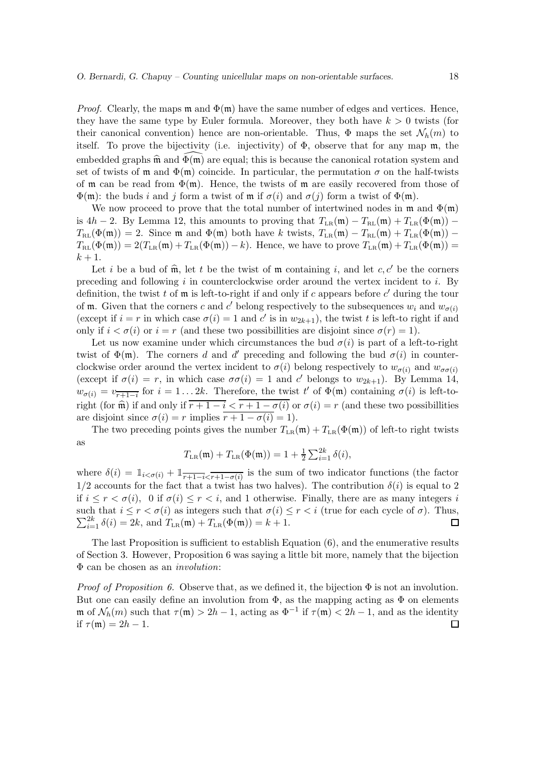*Proof.* Clearly, the maps  $\mathfrak{m}$  and  $\Phi(\mathfrak{m})$  have the same number of edges and vertices. Hence, they have the same type by Euler formula. Moreover, they both have  $k > 0$  twists (for their canonical convention) hence are non-orientable. Thus,  $\Phi$  maps the set  $\mathcal{N}_h(m)$  to itself. To prove the bijectivity (i.e. injectivity) of  $\Phi$ , observe that for any map m, the embedded graphs  $\hat{\mathfrak{m}}$  and  $\Phi(\mathfrak{m})$  are equal; this is because the canonical rotation system and set of twists of m and  $\Phi(\mathfrak{m})$  coincide. In particular, the permutation  $\sigma$  on the half-twists of m can be read from  $\Phi(\mathfrak{m})$ . Hence, the twists of m are easily recovered from those of  $\Phi(\mathfrak{m})$ : the buds i and j form a twist of  $\mathfrak{m}$  if  $\sigma(i)$  and  $\sigma(j)$  form a twist of  $\Phi(\mathfrak{m})$ .

We now proceed to prove that the total number of intertwined nodes in  $\mathfrak{m}$  and  $\Phi(\mathfrak{m})$ is 4h − 2. By Lemma 12, this amounts to proving that  $T_{LR}(\mathfrak{m}) - T_{RL}(\mathfrak{m}) + T_{LR}(\Phi(\mathfrak{m}))$  −  $T_{RL}(\Phi(\mathfrak{m})) = 2$ . Since m and  $\Phi(\mathfrak{m})$  both have k twists,  $T_{LR}(\mathfrak{m}) - T_{RL}(\mathfrak{m}) + T_{LR}(\Phi(\mathfrak{m}))$  –  $T_{RL}(\Phi(\mathfrak{m})) = 2(T_{LR}(\mathfrak{m}) + T_{LR}(\Phi(\mathfrak{m})) - k)$ . Hence, we have to prove  $T_{LR}(\mathfrak{m}) + T_{LR}(\Phi(\mathfrak{m})) =$  $k+1$ .

Let i be a bud of  $\hat{\mathfrak{m}}$ , let t be the twist of  $\mathfrak{m}$  containing i, and let c, c' be the corners preceding and following  $i$  in counterclockwise order around the vertex incident to  $i$ . By definition, the twist t of  $m$  is left-to-right if and only if c appears before  $c'$  during the tour of **m**. Given that the corners c and c' belong respectively to the subsequences  $w_i$  and  $w_{\sigma(i)}$ (except if  $i = r$  in which case  $\sigma(i) = 1$  and c' is in  $w_{2k+1}$ ), the twist t is left-to right if and only if  $i < \sigma(i)$  or  $i = r$  (and these two possibilities are disjoint since  $\sigma(r) = 1$ ).

Let us now examine under which circumstances the bud  $\sigma(i)$  is part of a left-to-right twist of  $\Phi(\mathfrak{m})$ . The corners d and d' preceding and following the bud  $\sigma(i)$  in counterclockwise order around the vertex incident to  $\sigma(i)$  belong respectively to  $w_{\sigma(i)}$  and  $w_{\sigma\sigma(i)}$ (except if  $\sigma(i) = r$ , in which case  $\sigma\sigma(i) = 1$  and c' belongs to  $w_{2k+1}$ ). By Lemma 14,  $w_{\sigma(i)} = v_{\overline{r+1-i}}$  for  $i = 1...2k$ . Therefore, the twist t' of  $\Phi(\mathfrak{m})$  containing  $\sigma(i)$  is left-toright (for  $\hat{\mathfrak{m}}$ ) if and only if  $\overline{r + 1 - i} < \overline{r + 1 - \sigma(i)}$  or  $\sigma(i) = r$  (and these two possibillities are disjoint since  $\sigma(i) = r$  implies  $\overline{r+1-\sigma(i)} = 1$ .

The two preceding points gives the number  $T_{LR}(\mathfrak{m}) + T_{LR}(\Phi(\mathfrak{m}))$  of left-to right twists as

$$
T_{LR}(\mathfrak{m}) + T_{LR}(\Phi(\mathfrak{m})) = 1 + \frac{1}{2} \sum_{i=1}^{2k} \delta(i),
$$

where  $\delta(i) = \mathbb{1}_{i < \sigma(i)} + \mathbb{1}_{\overline{r+1-i} < \overline{r+1-\sigma(i)}}$  is the sum of two indicator functions (the factor  $1/2$  accounts for the fact that a twist has two halves). The contribution  $\delta(i)$  is equal to 2 if  $i \leq r < \sigma(i)$ , 0 if  $\sigma(i) \leq r < i$ , and 1 otherwise. Finally, there are as many integers i such that  $i \leq r < \sigma(i)$  as integers such that  $\sigma(i) \leq r < i$  (true for each cycle of  $\sigma$ ). Thus,  $\sum_{i=1}^{2k} \delta(i) = 2k$ , and  $T_{LR}(\mathfrak{m}) + T_{LR}(\Phi(\mathfrak{m})) = k + 1$ .

The last Proposition is sufficient to establish Equation (6), and the enumerative results of Section 3. However, Proposition 6 was saying a little bit more, namely that the bijection Φ can be chosen as an *involution*:

*Proof of Proposition 6.* Observe that, as we defined it, the bijection  $\Phi$  is not an involution. But one can easily define an involution from  $\Phi$ , as the mapping acting as  $\Phi$  on elements  $\mathfrak{m}$  of  $\mathcal{N}_h(m)$  such that  $\tau(\mathfrak{m}) > 2h - 1$ , acting as  $\Phi^{-1}$  if  $\tau(\mathfrak{m}) < 2h - 1$ , and as the identity if  $\tau(\mathfrak{m}) = 2h - 1$ .